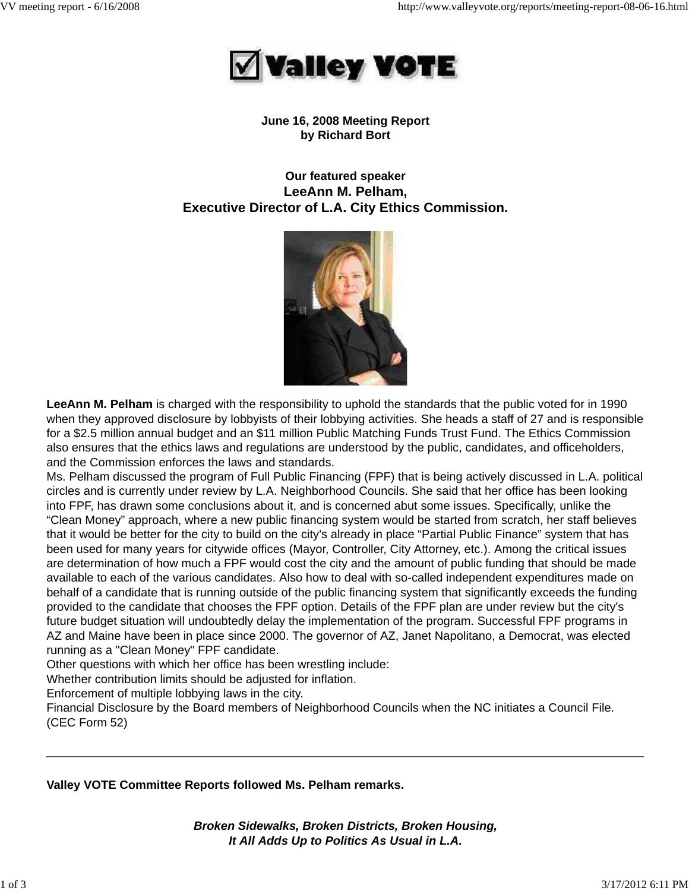

**June 16, 2008 Meeting Report by Richard Bort**

**Our featured speaker LeeAnn M. Pelham, Executive Director of L.A. City Ethics Commission.**



**LeeAnn M. Pelham** is charged with the responsibility to uphold the standards that the public voted for in 1990 when they approved disclosure by lobbyists of their lobbying activities. She heads a staff of 27 and is responsible for a \$2.5 million annual budget and an \$11 million Public Matching Funds Trust Fund. The Ethics Commission also ensures that the ethics laws and regulations are understood by the public, candidates, and officeholders, and the Commission enforces the laws and standards.

Ms. Pelham discussed the program of Full Public Financing (FPF) that is being actively discussed in L.A. political circles and is currently under review by L.A. Neighborhood Councils. She said that her office has been looking into FPF, has drawn some conclusions about it, and is concerned abut some issues. Specifically, unlike the "Clean Money" approach, where a new public financing system would be started from scratch, her staff believes that it would be better for the city to build on the city's already in place "Partial Public Finance" system that has been used for many years for citywide offices (Mayor, Controller, City Attorney, etc.). Among the critical issues are determination of how much a FPF would cost the city and the amount of public funding that should be made available to each of the various candidates. Also how to deal with so-called independent expenditures made on behalf of a candidate that is running outside of the public financing system that significantly exceeds the funding provided to the candidate that chooses the FPF option. Details of the FPF plan are under review but the city's future budget situation will undoubtedly delay the implementation of the program. Successful FPF programs in AZ and Maine have been in place since 2000. The governor of AZ, Janet Napolitano, a Democrat, was elected running as a "Clean Money" FPF candidate.

Other questions with which her office has been wrestling include:

Whether contribution limits should be adjusted for inflation.

Enforcement of multiple lobbying laws in the city.

Financial Disclosure by the Board members of Neighborhood Councils when the NC initiates a Council File. (CEC Form 52)

## **Valley VOTE Committee Reports followed Ms. Pelham remarks.**

*Broken Sidewalks, Broken Districts, Broken Housing, It All Adds Up to Politics As Usual in L.A.*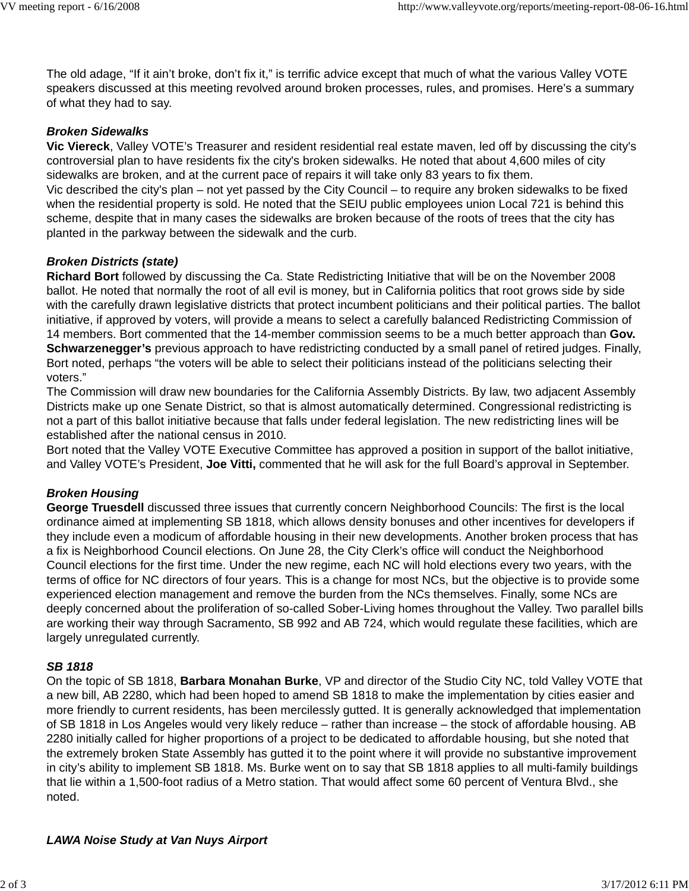The old adage, "If it ain't broke, don't fix it," is terrific advice except that much of what the various Valley VOTE speakers discussed at this meeting revolved around broken processes, rules, and promises. Here's a summary of what they had to say.

## *Broken Sidewalks*

**Vic Viereck**, Valley VOTE's Treasurer and resident residential real estate maven, led off by discussing the city's controversial plan to have residents fix the city's broken sidewalks. He noted that about 4,600 miles of city sidewalks are broken, and at the current pace of repairs it will take only 83 years to fix them. Vic described the city's plan – not yet passed by the City Council – to require any broken sidewalks to be fixed when the residential property is sold. He noted that the SEIU public employees union Local 721 is behind this scheme, despite that in many cases the sidewalks are broken because of the roots of trees that the city has planted in the parkway between the sidewalk and the curb.

### *Broken Districts (state)*

**Richard Bort** followed by discussing the Ca. State Redistricting Initiative that will be on the November 2008 ballot. He noted that normally the root of all evil is money, but in California politics that root grows side by side with the carefully drawn legislative districts that protect incumbent politicians and their political parties. The ballot initiative, if approved by voters, will provide a means to select a carefully balanced Redistricting Commission of 14 members. Bort commented that the 14-member commission seems to be a much better approach than **Gov. Schwarzenegger's** previous approach to have redistricting conducted by a small panel of retired judges. Finally, Bort noted, perhaps "the voters will be able to select their politicians instead of the politicians selecting their voters."

The Commission will draw new boundaries for the California Assembly Districts. By law, two adjacent Assembly Districts make up one Senate District, so that is almost automatically determined. Congressional redistricting is not a part of this ballot initiative because that falls under federal legislation. The new redistricting lines will be established after the national census in 2010.

Bort noted that the Valley VOTE Executive Committee has approved a position in support of the ballot initiative, and Valley VOTE's President, **Joe Vitti,** commented that he will ask for the full Board's approval in September.

## *Broken Housing*

**George Truesdell** discussed three issues that currently concern Neighborhood Councils: The first is the local ordinance aimed at implementing SB 1818, which allows density bonuses and other incentives for developers if they include even a modicum of affordable housing in their new developments. Another broken process that has a fix is Neighborhood Council elections. On June 28, the City Clerk's office will conduct the Neighborhood Council elections for the first time. Under the new regime, each NC will hold elections every two years, with the terms of office for NC directors of four years. This is a change for most NCs, but the objective is to provide some experienced election management and remove the burden from the NCs themselves. Finally, some NCs are deeply concerned about the proliferation of so-called Sober-Living homes throughout the Valley. Two parallel bills are working their way through Sacramento, SB 992 and AB 724, which would regulate these facilities, which are largely unregulated currently.

#### *SB 1818*

On the topic of SB 1818, **Barbara Monahan Burke**, VP and director of the Studio City NC, told Valley VOTE that a new bill, AB 2280, which had been hoped to amend SB 1818 to make the implementation by cities easier and more friendly to current residents, has been mercilessly gutted. It is generally acknowledged that implementation of SB 1818 in Los Angeles would very likely reduce – rather than increase – the stock of affordable housing. AB 2280 initially called for higher proportions of a project to be dedicated to affordable housing, but she noted that the extremely broken State Assembly has gutted it to the point where it will provide no substantive improvement in city's ability to implement SB 1818. Ms. Burke went on to say that SB 1818 applies to all multi-family buildings that lie within a 1,500-foot radius of a Metro station. That would affect some 60 percent of Ventura Blvd., she noted.

#### *LAWA Noise Study at Van Nuys Airport*